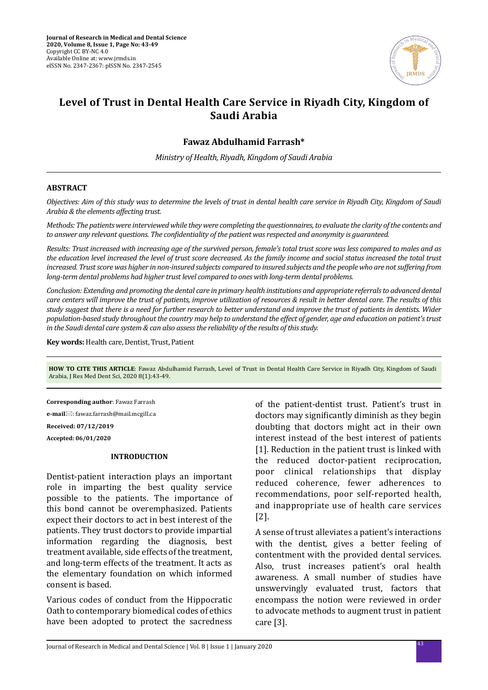

# **Level of Trust in Dental Health Care Service in Riyadh City, Kingdom of Saudi Arabia**

## **Fawaz Abdulhamid Farrash\***

*Ministry of Health, Riyadh, Kingdom of Saudi Arabia*

### **ABSTRACT**

*Objectives: Aim of this study was to determine the levels of trust in dental health care service in Riyadh City, Kingdom of Saudi Arabia & the elements affecting trust.*

*Methods: The patients were interviewed while they were completing the questionnaires, to evaluate the clarity of the contents and to answer any relevant questions. The confidentiality of the patient was respected and anonymity is guaranteed.*

*Results: Trust increased with increasing age of the survived person, female's total trust score was less compared to males and as the education level increased the level of trust score decreased. As the family income and social status increased the total trust increased. Trust score was higher in non-insured subjects compared to insured subjects and the people who are not suffering from long-term dental problems had higher trust level compared to ones with long-term dental problems.* 

*Conclusion: Extending and promoting the dental care in primary health institutions and appropriate referrals to advanced dental care centers will improve the trust of patients, improve utilization of resources & result in better dental care. The results of this study suggest that there is a need for further research to better understand and improve the trust of patients in dentists. Wider population-based study throughout the country may help to understand the effect of gender, age and education on patient's trust in the Saudi dental care system & can also assess the reliability of the results of this study.*

**Key words:** Health care, Dentist, Trust, Patient

**HOW TO CITE THIS ARTICLE**: Fawaz Abdulhamid Farrash, Level of Trust in Dental Health Care Service in Riyadh City, Kingdom of Saudi Arabia, J Res Med Dent Sci, 2020 8(1):43-49.

**Corresponding author**: Fawaz Farrash **e-mail**⊠: fawaz.farrash@mail.mcgill.ca

**Received: 07/12/2019**

**Accepted: 06/01/2020**

# **INTRODUCTION**

Dentist-patient interaction plays an important role in imparting the best quality service possible to the patients. The importance of this bond cannot be overemphasized. Patients expect their doctors to act in best interest of the patients. They trust doctors to provide impartial information regarding the diagnosis, best treatment available, side effects of the treatment, and long-term effects of the treatment. It acts as the elementary foundation on which informed consent is based.

Various codes of conduct from the Hippocratic Oath to contemporary biomedical codes of ethics have been adopted to protect the sacredness of the patient-dentist trust. Patient's trust in doctors may significantly diminish as they begin doubting that doctors might act in their own interest instead of the best interest of patients [1]. Reduction in the patient trust is linked with the reduced doctor-patient reciprocation, poor clinical relationships that display reduced coherence, fewer adherences to recommendations, poor self-reported health, and inappropriate use of health care services [2].

A sense of trust alleviates a patient's interactions with the dentist, gives a better feeling of contentment with the provided dental services. Also, trust increases patient's oral health awareness. A small number of studies have unswervingly evaluated trust, factors that encompass the notion were reviewed in order to advocate methods to augment trust in patient care [3].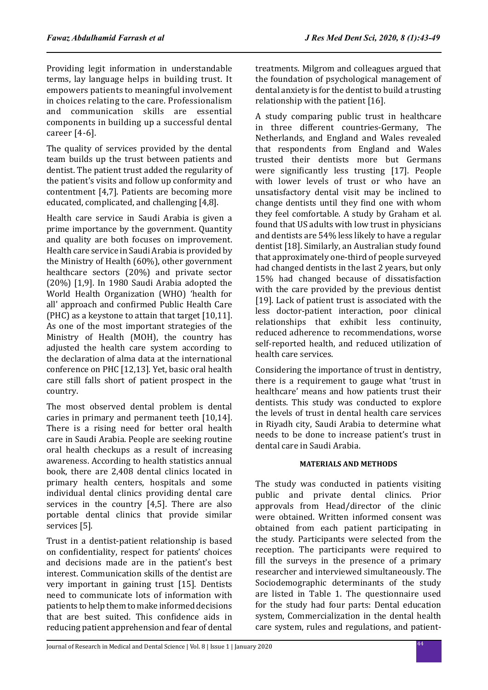Providing legit information in understandable terms, lay language helps in building trust. It empowers patients to meaningful involvement in choices relating to the care. Professionalism and communication skills are essential components in building up a successful dental career [4-6].

The quality of services provided by the dental team builds up the trust between patients and dentist. The patient trust added the regularity of the patient's visits and follow up conformity and contentment [4,7]. Patients are becoming more educated, complicated, and challenging [4,8].

Health care service in Saudi Arabia is given a prime importance by the government. Quantity and quality are both focuses on improvement. Health care service in Saudi Arabia is provided by the Ministry of Health (60%), other government healthcare sectors (20%) and private sector (20%) [1,9]. In 1980 Saudi Arabia adopted the World Health Organization (WHO) 'health for all' approach and confirmed Public Health Care (PHC) as a keystone to attain that target [10,11]. As one of the most important strategies of the Ministry of Health (MOH), the country has adjusted the health care system according to the declaration of alma data at the international conference on PHC [12,13]. Yet, basic oral health care still falls short of patient prospect in the country.

The most observed dental problem is dental caries in primary and permanent teeth [10,14]. There is a rising need for better oral health care in Saudi Arabia. People are seeking routine oral health checkups as a result of increasing awareness. According to health statistics annual book, there are 2,408 dental clinics located in primary health centers, hospitals and some individual dental clinics providing dental care services in the country [4,5]. There are also portable dental clinics that provide similar services [5].

Trust in a dentist-patient relationship is based on confidentiality, respect for patients' choices and decisions made are in the patient's best interest. Communication skills of the dentist are very important in gaining trust [15]. Dentists need to communicate lots of information with patients to help them to make informed decisions that are best suited. This confidence aids in reducing patient apprehension and fear of dental treatments. Milgrom and colleagues argued that the foundation of psychological management of dental anxiety is for the dentist to build a trusting relationship with the patient [16].

A study comparing public trust in healthcare in three different countries-Germany, The Netherlands, and England and Wales revealed that respondents from England and Wales trusted their dentists more but Germans were significantly less trusting [17]. People with lower levels of trust or who have an unsatisfactory dental visit may be inclined to change dentists until they find one with whom they feel comfortable. A study by Graham et al. found that US adults with low trust in physicians and dentists are 54% less likely to have a regular dentist [18]. Similarly, an Australian study found that approximately one-third of people surveyed had changed dentists in the last 2 years, but only 15% had changed because of dissatisfaction with the care provided by the previous dentist [19]. Lack of patient trust is associated with the less doctor-patient interaction, poor clinical relationships that exhibit less continuity, reduced adherence to recommendations, worse self-reported health, and reduced utilization of health care services.

Considering the importance of trust in dentistry, there is a requirement to gauge what 'trust in healthcare' means and how patients trust their dentists. This study was conducted to explore the levels of trust in dental health care services in Riyadh city, Saudi Arabia to determine what needs to be done to increase patient's trust in dental care in Saudi Arabia.

## **MATERIALS AND METHODS**

The study was conducted in patients visiting public and private dental clinics. Prior approvals from Head/director of the clinic were obtained. Written informed consent was obtained from each patient participating in the study. Participants were selected from the reception. The participants were required to fill the surveys in the presence of a primary researcher and interviewed simultaneously. The Sociodemographic determinants of the study are listed in Table 1. The questionnaire used for the study had four parts: Dental education system, Commercialization in the dental health care system, rules and regulations, and patient-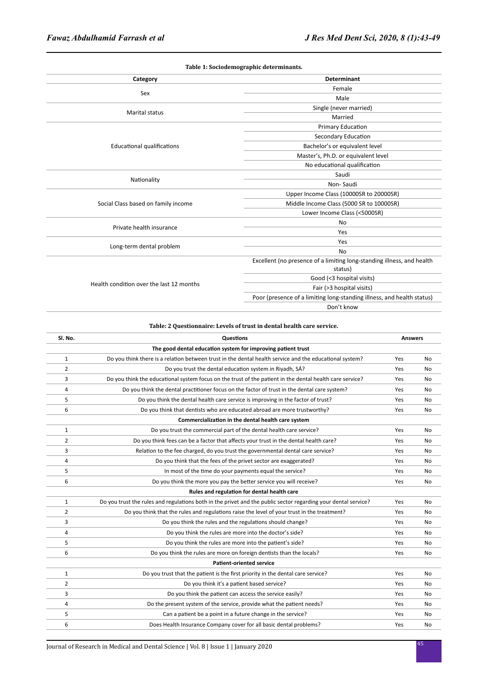| Category                                 | <b>Determinant</b>                                                     |  |
|------------------------------------------|------------------------------------------------------------------------|--|
|                                          | Female                                                                 |  |
| Sex                                      | Male                                                                   |  |
|                                          | Single (never married)                                                 |  |
| <b>Marital status</b>                    | Married                                                                |  |
|                                          | Primary Education                                                      |  |
| <b>Educational qualifications</b>        | Secondary Education                                                    |  |
|                                          | Bachelor's or equivalent level                                         |  |
|                                          | Master's, Ph.D. or equivalent level                                    |  |
|                                          | No educational qualification                                           |  |
|                                          | Saudi                                                                  |  |
| Nationality                              | Non-Saudi                                                              |  |
|                                          | Upper Income Class (10000SR to 20000SR)                                |  |
| Social Class based on family income      | Middle Income Class (5000 SR to 10000SR)                               |  |
|                                          | Lower Income Class (<5000SR)                                           |  |
| Private health insurance                 | No                                                                     |  |
|                                          | Yes                                                                    |  |
|                                          | Yes                                                                    |  |
| Long-term dental problem<br>No           |                                                                        |  |
| Health condition over the last 12 months | Excellent (no presence of a limiting long-standing illness, and health |  |
|                                          | status)                                                                |  |
|                                          | Good (<3 hospital visits)                                              |  |
|                                          | Fair (>3 hospital visits)                                              |  |
|                                          | Poor (presence of a limiting long-standing illness, and health status) |  |
|                                          | Don't know                                                             |  |

#### **Table: 2 Questionnaire: Levels of trust in dental health care service.**

| SI. No.        | <b>Questions</b>                                                                                               |     | <b>Answers</b> |  |
|----------------|----------------------------------------------------------------------------------------------------------------|-----|----------------|--|
|                | The good dental education system for improving patient trust                                                   |     |                |  |
| $\mathbf{1}$   | Do you think there is a relation between trust in the dental health service and the educational system?        | Yes | No             |  |
| 2              | Do you trust the dental education system in Riyadh, SÁ?                                                        | Yes | No             |  |
| 3              | Do you think the educational system focus on the trust of the patient in the dental health care service?       | Yes | No             |  |
| 4              | Do you think the dental practitioner focus on the factor of trust in the dental care system?                   | Yes | No             |  |
| 5              | Do you think the dental health care service is improving in the factor of trust?                               | Yes | No             |  |
| 6              | Do you think that dentists who are educated abroad are more trustworthy?                                       | Yes | No             |  |
|                | Commercialization in the dental health care system                                                             |     |                |  |
| $\mathbf{1}$   | Do you trust the commercial part of the dental health care service?                                            | Yes | No             |  |
| $\overline{2}$ | Do you think fees can be a factor that affects your trust in the dental health care?                           | Yes | No             |  |
| 3              | Relation to the fee charged, do you trust the governmental dental care service?                                | Yes | <b>No</b>      |  |
| 4              | Do you think that the fees of the privet sector are exaggerated?                                               | Yes | No             |  |
| 5              | In most of the time do your payments equal the service?                                                        | Yes | No             |  |
| 6              | Do you think the more you pay the better service you will receive?                                             | Yes | No             |  |
|                | Rules and regulation for dental health care                                                                    |     |                |  |
| $\mathbf{1}$   | Do you trust the rules and regulations both in the privet and the public sector regarding your dental service? | Yes | No             |  |
| 2              | Do you think that the rules and regulations raise the level of your trust in the treatment?                    | Yes | No             |  |
| 3              | Do you think the rules and the regulations should change?                                                      | Yes | No             |  |
| 4              | Do you think the rules are more into the doctor's side?                                                        | Yes | No             |  |
| 5              | Do you think the rules are more into the patient's side?                                                       | Yes | No             |  |
| 6              | Do you think the rules are more on foreign dentists than the locals?                                           | Yes | No             |  |
|                | <b>Patient-oriented service</b>                                                                                |     |                |  |
| $\mathbf{1}$   | Do you trust that the patient is the first priority in the dental care service?                                | Yes | <b>No</b>      |  |
| 2              | Do you think it's a patient based service?                                                                     | Yes | No             |  |
| 3              | Do you think the patient can access the service easily?                                                        | Yes | No             |  |
| 4              | Do the present system of the service, provide what the patient needs?                                          | Yes | No             |  |
| 5              | Can a patient be a point in a future change in the service?                                                    | Yes | No             |  |
| 6              | Does Health Insurance Company cover for all basic dental problems?                                             | Yes | No             |  |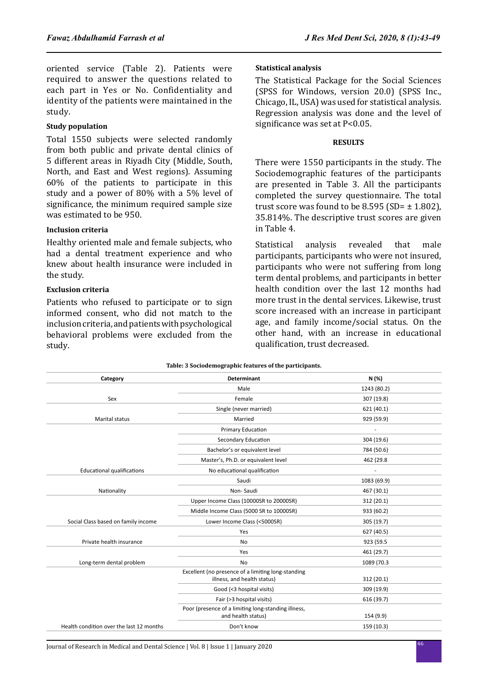oriented service (Table 2). Patients were required to answer the questions related to each part in Yes or No. Confidentiality and identity of the patients were maintained in the study.

# **Study population**

Total 1550 subjects were selected randomly from both public and private dental clinics of 5 different areas in Riyadh City (Middle, South, North, and East and West regions). Assuming 60% of the patients to participate in this study and a power of 80% with a 5% level of significance, the minimum required sample size was estimated to be 950.

### **Inclusion criteria**

Healthy oriented male and female subjects, who had a dental treatment experience and who knew about health insurance were included in the study.

### **Exclusion criteria**

Patients who refused to participate or to sign informed consent, who did not match to the inclusion criteria, and patients with psychological behavioral problems were excluded from the study.

### **Statistical analysis**

The Statistical Package for the Social Sciences (SPSS for Windows, version 20.0) (SPSS Inc., Chicago, IL, USA) was used for statistical analysis. Regression analysis was done and the level of significance was set at P<0.05.

### **RESULTS**

There were 1550 participants in the study. The Sociodemographic features of the participants are presented in Table 3. All the participants completed the survey questionnaire. The total trust score was found to be 8.595 (SD=  $\pm$  1.802), 35.814%. The descriptive trust scores are given in Table 4.

Statistical analysis revealed that male participants, participants who were not insured, participants who were not suffering from long term dental problems, and participants in better health condition over the last 12 months had more trust in the dental services. Likewise, trust score increased with an increase in participant age, and family income/social status. On the other hand, with an increase in educational qualification, trust decreased.

|                                          | Table: 3 Sociodemographic features of the participants.                           |             |
|------------------------------------------|-----------------------------------------------------------------------------------|-------------|
| Category                                 | <b>Determinant</b>                                                                | N (%)       |
|                                          | Male                                                                              | 1243 (80.2) |
| Sex                                      | Female                                                                            | 307 (19.8)  |
|                                          | Single (never married)                                                            | 621 (40.1)  |
| <b>Marital status</b>                    | Married                                                                           | 929 (59.9)  |
|                                          | Primary Education                                                                 | ä,          |
|                                          | Secondary Education                                                               | 304 (19.6)  |
|                                          | Bachelor's or equivalent level                                                    | 784 (50.6)  |
|                                          | Master's, Ph.D. or equivalent level                                               | 462 (29.8   |
| <b>Educational qualifications</b>        | No educational qualification                                                      |             |
|                                          | Saudi                                                                             | 1083 (69.9) |
| Nationality                              | Non-Saudi                                                                         | 467 (30.1)  |
|                                          | Upper Income Class (10000SR to 20000SR)                                           | 312 (20.1)  |
|                                          | Middle Income Class (5000 SR to 10000SR)                                          | 933 (60.2)  |
| Social Class based on family income      | Lower Income Class (<5000SR)                                                      | 305 (19.7)  |
|                                          | Yes                                                                               | 627 (40.5)  |
| Private health insurance                 | No                                                                                | 923 (59.5   |
|                                          | Yes                                                                               | 461 (29.7)  |
| Long-term dental problem                 | <b>No</b>                                                                         | 1089 (70.3  |
|                                          | Excellent (no presence of a limiting long-standing<br>illness, and health status) | 312 (20.1)  |
|                                          | Good (<3 hospital visits)                                                         | 309 (19.9)  |
|                                          | Fair (>3 hospital visits)                                                         | 616 (39.7)  |
|                                          | Poor (presence of a limiting long-standing illness,<br>and health status)         | 154 (9.9)   |
| Health condition over the last 12 months | Don't know                                                                        | 159 (10.3)  |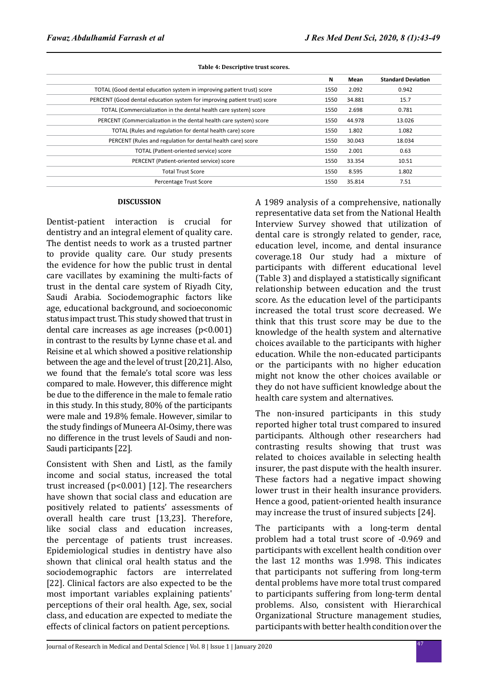# **N Mean Standard Deviation** TOTAL (Good dental education system in improving patient trust) score 1550 2.092 0.942 PERCENT (Good dental education system for improving patient trust) score 1550 34.881 15.7 TOTAL (Commercialization in the dental health care system) score 1550 1550 2.698 0.781 PERCENT (Commercialization in the dental health care system) score 1550 44.978 13.026 TOTAL (Rules and regulation for dental health care) score 1550 1.802 1.802 1.082 PERCENT (Rules and regulation for dental health care) score 1550 30.043 18.034 TOTAL (Patient-oriented service) score 1550 2.001 0.63 PERCENT (Patient-oriented service) score 1550 1550 33.354 10.51 Total Trust Score 1550 8.595 1.802 Percentage Trust Score 1550 35.814 7.51

#### **Table 4: Descriptive trust scores.**

#### **DISCUSSION**

Dentist-patient interaction is crucial for dentistry and an integral element of quality care. The dentist needs to work as a trusted partner to provide quality care. Our study presents the evidence for how the public trust in dental care vacillates by examining the multi-facts of trust in the dental care system of Riyadh City, Saudi Arabia. Sociodemographic factors like age, educational background, and socioeconomic status impact trust. This study showed that trust in dental care increases as age increases  $(p<0.001)$ in contrast to the results by Lynne chase et al. and Reisine et al. which showed a positive relationship between the age and the level of trust [20,21]. Also, we found that the female's total score was less compared to male. However, this difference might be due to the difference in the male to female ratio in this study. In this study, 80% of the participants were male and 19.8% female. However, similar to the study findings of Muneera AI-Osimy, there was no difference in the trust levels of Saudi and non-Saudi participants [22].

Consistent with Shen and Listl, as the family income and social status, increased the total trust increased (p<0.001) [12]. The researchers have shown that social class and education are positively related to patients' assessments of overall health care trust [13,23]. Therefore, like social class and education increases, the percentage of patients trust increases. Epidemiological studies in dentistry have also shown that clinical oral health status and the sociodemographic factors are interrelated [22]. Clinical factors are also expected to be the most important variables explaining patients' perceptions of their oral health. Age, sex, social class, and education are expected to mediate the effects of clinical factors on patient perceptions.

A 1989 analysis of a comprehensive, nationally representative data set from the National Health Interview Survey showed that utilization of dental care is strongly related to gender, race, education level, income, and dental insurance coverage.18 Our study had a mixture of participants with different educational level (Table 3) and displayed a statistically significant relationship between education and the trust score. As the education level of the participants increased the total trust score decreased. We think that this trust score may be due to the knowledge of the health system and alternative choices available to the participants with higher education. While the non-educated participants or the participants with no higher education might not know the other choices available or they do not have sufficient knowledge about the health care system and alternatives.

The non-insured participants in this study reported higher total trust compared to insured participants. Although other researchers had contrasting results showing that trust was related to choices available in selecting health insurer, the past dispute with the health insurer. These factors had a negative impact showing lower trust in their health insurance providers. Hence a good, patient-oriented health insurance may increase the trust of insured subjects [24].

The participants with a long-term dental problem had a total trust score of -0.969 and participants with excellent health condition over the last 12 months was 1.998. This indicates that participants not suffering from long-term dental problems have more total trust compared to participants suffering from long-term dental problems. Also, consistent with Hierarchical Organizational Structure management studies, participants with better health condition over the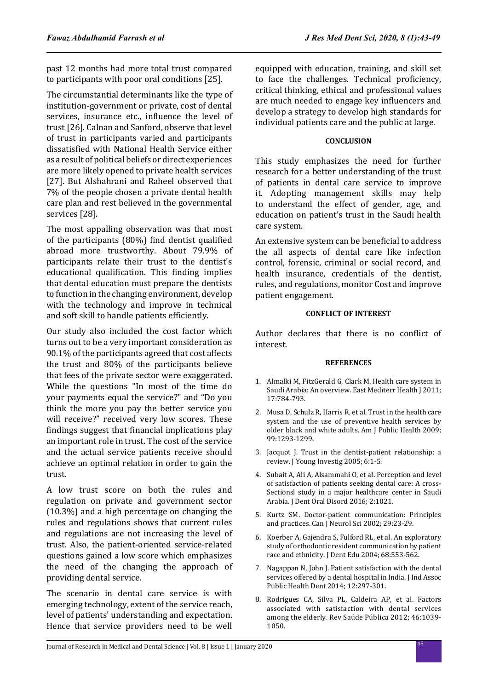past 12 months had more total trust compared to participants with poor oral conditions [25].

The circumstantial determinants like the type of institution-government or private, cost of dental services, insurance etc., influence the level of trust [26]. Calnan and Sanford, observe that level of trust in participants varied and participants dissatisfied with National Health Service either as a result of political beliefs or direct experiences are more likely opened to private health services [27]. But Alshahrani and Raheel observed that 7% of the people chosen a private dental health care plan and rest believed in the governmental services [28].

The most appalling observation was that most of the participants (80%) find dentist qualified abroad more trustworthy. About 79.9% of participants relate their trust to the dentist's educational qualification. This finding implies that dental education must prepare the dentists to function in the changing environment, develop with the technology and improve in technical and soft skill to handle patients efficiently.

Our study also included the cost factor which turns out to be a very important consideration as 90.1% of the participants agreed that cost affects the trust and 80% of the participants believe that fees of the private sector were exaggerated. While the questions "In most of the time do your payments equal the service?" and "Do you think the more you pay the better service you will receive?" received very low scores. These findings suggest that financial implications play an important role in trust. The cost of the service and the actual service patients receive should achieve an optimal relation in order to gain the trust.

A low trust score on both the rules and regulation on private and government sector (10.3%) and a high percentage on changing the rules and regulations shows that current rules and regulations are not increasing the level of trust. Also, the patient-oriented service-related questions gained a low score which emphasizes the need of the changing the approach of providing dental service.

The scenario in dental care service is with emerging technology, extent of the service reach, level of patients' understanding and expectation. Hence that service providers need to be well equipped with education, training, and skill set to face the challenges. Technical proficiency, critical thinking, ethical and professional values are much needed to engage key influencers and develop a strategy to develop high standards for individual patients care and the public at large.

### **CONCLUSION**

This study emphasizes the need for further research for a better understanding of the trust of patients in dental care service to improve it. Adopting management skills may help to understand the effect of gender, age, and education on patient's trust in the Saudi health care system.

An extensive system can be beneficial to address the all aspects of dental care like infection control, forensic, criminal or social record, and health insurance, credentials of the dentist, rules, and regulations, monitor Cost and improve patient engagement.

### **CONFLICT OF INTEREST**

Author declares that there is no conflict of interest.

#### **REFERENCES**

- 1. Almalki M, FitzGerald G, Clark M. Health care system in Saudi Arabia: An overview. East Mediterr Health J 2011; 17:784-793.
- 2. Musa D, Schulz R, Harris R, et al. Trust in the health care system and the use of preventive health services by older black and white adults. Am J Public Health 2009; 99:1293-1299.
- 3. Jacquot J. Trust in the dentist-patient relationship: a review. J Young Investig 2005; 6:1-5.
- 4. Subait A, Ali A, Alsammahi O, et al. Perception and level of satisfaction of patients seeking dental care: A cross-Sectionsl study in a major healthcare center in Saudi Arabia. J Dent Oral Disord 2016; 2:1021.
- 5. Kurtz SM. Doctor-patient communication: Principles and practices. Can J Neurol Sci 2002; 29:23-29.
- 6. Koerber A, Gajendra S, Fulford RL, et al. An exploratory study of orthodontic resident communication by patient race and ethnicity. J Dent Edu 2004; 68:553-562.
- 7. Nagappan N, John J. Patient satisfaction with the dental services offered by a dental hospital in India. J Ind Assoc Public Health Dent 2014; 12:297-301.
- 8. Rodrigues CA, Silva PL, Caldeira AP, et al. Factors associated with satisfaction with dental services among the elderly. Rev Saúde Pública 2012; 46:1039- 1050.